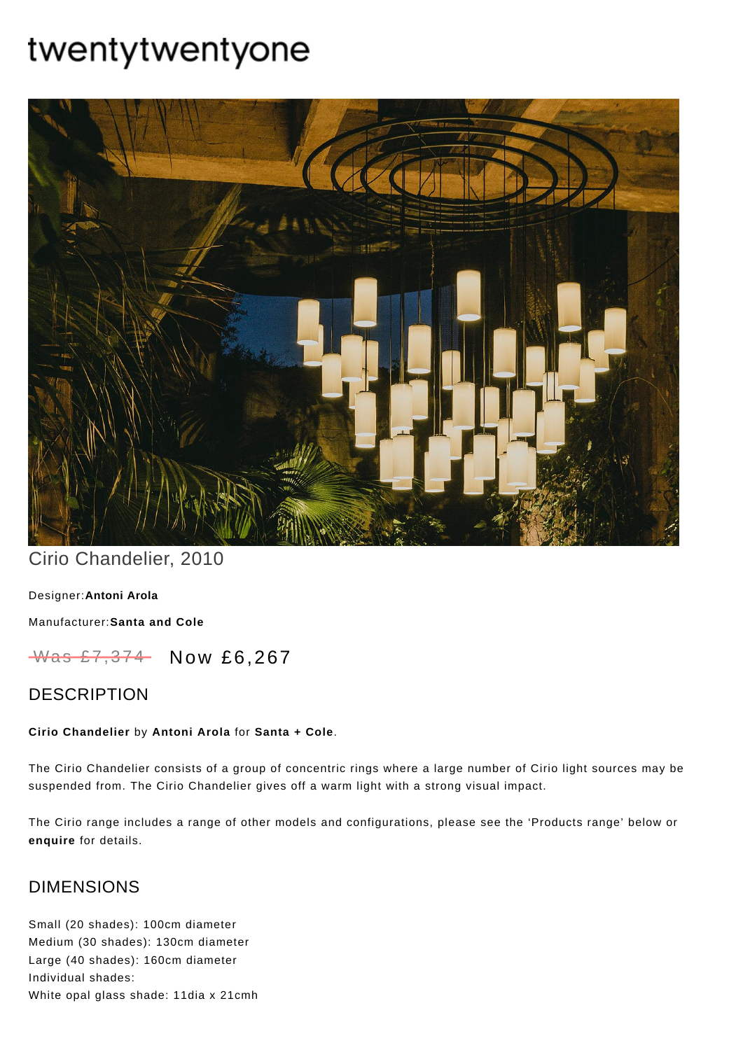# twentytwentyone



## Cirio Chandelier, 2010

[Designer:](https://www.twentytwentyone.com/collections/designers-antoni-arola)**Antoni Arola**

[Manufacturer:](https://www.twentytwentyone.com/collections/manufacturers-santa-and-cole)**Santa and Cole**

Was £7,374 Now £6,267

## DESCRIPTION

#### **Cirio Chandelier** by **[Antoni](http://twentytwentyone.com/designer/antoni-arola) Arola** for **[Santa](http://twentytwentyone.com/manufacturer/santa-cole) + Cole**.

The Cirio Chandelier consists of a group of concentric rings where a large number of Cirio light sources may be suspended from. The Cirio Chandelier gives off a warm light with a strong visual impact.

The Cirio range includes a range of other models and configurations, please see the 'Products range' below or **[enquire](mailto:%20showroom@twentytwentyone.com)** for details.

## DIMENSIONS

Small (20 shades): 100cm diameter Medium (30 shades): 130cm diameter Large (40 shades): 160cm diameter Individual shades: White opal glass shade: 11dia x 21cmh